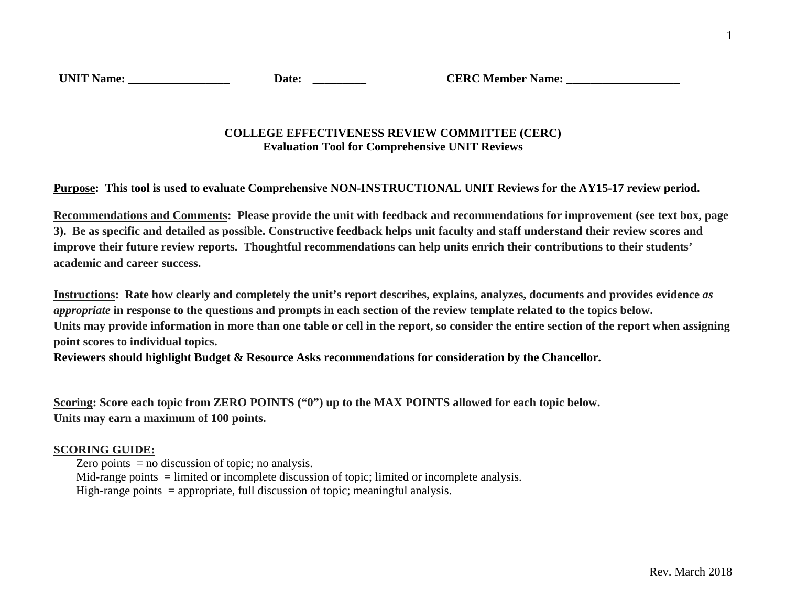## **COLLEGE EFFECTIVENESS REVIEW COMMITTEE (CERC) Evaluation Tool for Comprehensive UNIT Reviews**

**Purpose: This tool is used to evaluate Comprehensive NON-INSTRUCTIONAL UNIT Reviews for the AY15-17 review period.** 

**Recommendations and Comments: Please provide the unit with feedback and recommendations for improvement (see text box, page 3). Be as specific and detailed as possible. Constructive feedback helps unit faculty and staff understand their review scores and improve their future review reports. Thoughtful recommendations can help units enrich their contributions to their students' academic and career success.** 

**Instructions: Rate how clearly and completely the unit's report describes, explains, analyzes, documents and provides evidence** *as appropriate* **in response to the questions and prompts in each section of the review template related to the topics below. Units may provide information in more than one table or cell in the report, so consider the entire section of the report when assigning point scores to individual topics.**

**Reviewers should highlight Budget & Resource Asks recommendations for consideration by the Chancellor.**

**Scoring: Score each topic from ZERO POINTS ("0") up to the MAX POINTS allowed for each topic below. Units may earn a maximum of 100 points.** 

## **SCORING GUIDE:**

Zero points  $=$  no discussion of topic; no analysis.

Mid-range points = limited or incomplete discussion of topic; limited or incomplete analysis.

High-range points  $=$  appropriate, full discussion of topic; meaningful analysis.

1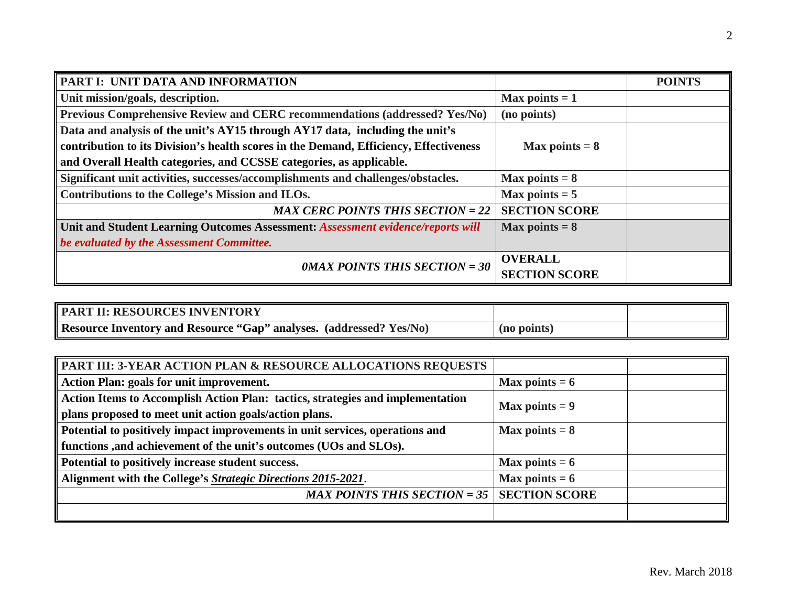| PART I: UNIT DATA AND INFORMATION                                                     |                      | <b>POINTS</b> |
|---------------------------------------------------------------------------------------|----------------------|---------------|
| Unit mission/goals, description.                                                      | Max points $= 1$     |               |
| Previous Comprehensive Review and CERC recommendations (addressed? Yes/No)            | (no points)          |               |
| Data and analysis of the unit's AY15 through AY17 data, including the unit's          |                      |               |
| contribution to its Division's health scores in the Demand, Efficiency, Effectiveness | Max points $= 8$     |               |
| and Overall Health categories, and CCSSE categories, as applicable.                   |                      |               |
| Significant unit activities, successes/accomplishments and challenges/obstacles.      | Max points $= 8$     |               |
| Contributions to the College's Mission and ILOs.                                      | Max points $= 5$     |               |
| <b>MAX CERC POINTS THIS SECTION = 22</b>                                              | <b>SECTION SCORE</b> |               |
| Unit and Student Learning Outcomes Assessment: Assessment evidence/reports will       | Max points $= 8$     |               |
| be evaluated by the Assessment Committee.                                             |                      |               |
| <b>OMAX POINTS THIS SECTION = 30</b>                                                  | <b>OVERALL</b>       |               |
|                                                                                       | <b>SECTION SCORE</b> |               |

| PART II: RESOURCES INVENTORY                                        |             |  |
|---------------------------------------------------------------------|-------------|--|
| Resource Inventory and Resource "Gap" analyses. (addressed? Yes/No) | (no points) |  |

| <b>PART III: 3-YEAR ACTION PLAN &amp; RESOURCE ALLOCATIONS REQUESTS</b>        |                  |  |
|--------------------------------------------------------------------------------|------------------|--|
| Action Plan: goals for unit improvement.                                       | Max points $= 6$ |  |
| Action Items to Accomplish Action Plan: tactics, strategies and implementation | Max points $= 9$ |  |
| plans proposed to meet unit action goals/action plans.                         |                  |  |
| Potential to positively impact improvements in unit services, operations and   | Max points $= 8$ |  |
| functions , and achievement of the unit's outcomes (UOs and SLOs).             |                  |  |
| Potential to positively increase student success.                              | Max points $= 6$ |  |
| Alignment with the College's Strategic Directions 2015-2021.                   | Max points $= 6$ |  |
| MAX POINTS THIS SECTION = 35   SECTION SCORE                                   |                  |  |
|                                                                                |                  |  |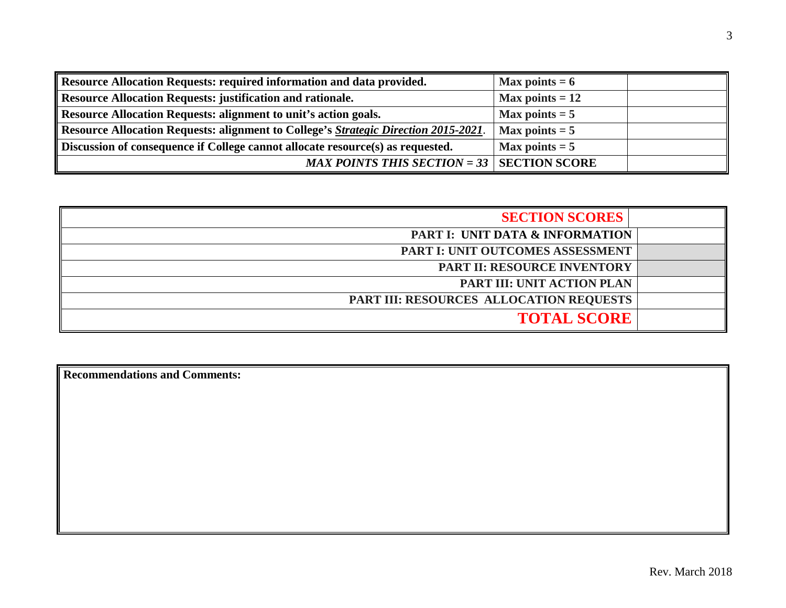| Resource Allocation Requests: required information and data provided.               | Max points $= 6$  |
|-------------------------------------------------------------------------------------|-------------------|
| <b>Resource Allocation Requests: justification and rationale.</b>                   | Max points $= 12$ |
| Resource Allocation Requests: alignment to unit's action goals.                     | Max points $= 5$  |
| Resource Allocation Requests: alignment to College's Strategic Direction 2015-2021. | Max points $= 5$  |
| Discussion of consequence if College cannot allocate resource(s) as requested.      | Max points $= 5$  |
| MAX POINTS THIS SECTION = $33$   SECTION SCORE                                      |                   |

| <b>SECTION SCORES</b>                      |  |
|--------------------------------------------|--|
| <b>PART I: UNIT DATA &amp; INFORMATION</b> |  |
| PART I: UNIT OUTCOMES ASSESSMENT           |  |
| <b>PART II: RESOURCE INVENTORY</b>         |  |
| PART III: UNIT ACTION PLAN                 |  |
| PART III: RESOURCES ALLOCATION REQUESTS    |  |
| <b>TOTAL SCORE</b>                         |  |

**Recommendations and Comments:**